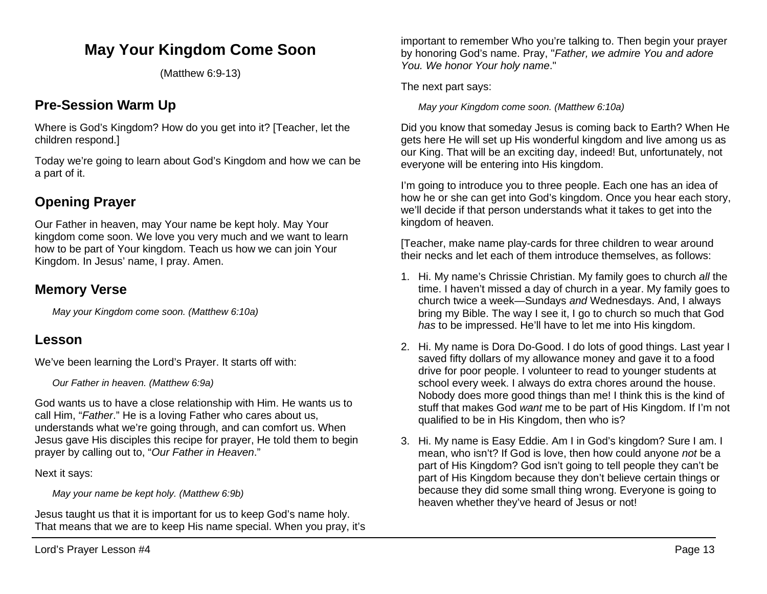# **May Your Kingdom Come Soon**

(Matthew 6:9-13)

## **Pre-Session Warm Up**

Where is God's Kingdom? How do you get into it? [Teacher, let the children respond.]

Today we're going to learn about God's Kingdom and how we can be a part of it.

## **Opening Prayer**

Our Father in heaven, may Your name be kept holy. May Your kingdom come soon. We love you very much and we want to learn how to be part of Your kingdom. Teach us how we can join Your Kingdom. In Jesus' name, I pray. Amen.

### **Memory Verse**

*May your Kingdom come soon. (Matthew 6:10a)*

### **Lesson**

We've been learning the Lord's Prayer. It starts off with:

*Our Father in heaven. (Matthew 6:9a)*

God wants us to have a close relationship with Him. He wants us to call Him, "*Father*." He is a loving Father who cares about us, understands what we're going through, and can comfort us. When Jesus gave His disciples this recipe for prayer, He told them to begin prayer by calling out to, "*Our Father in Heaven*."

Next it says:

*May your name be kept holy. (Matthew 6:9b)*

Jesus taught us that it is important for us to keep God's name holy. That means that we are to keep His name special. When you pray, it's important to remember Who you're talking to. Then begin your prayer by honoring God's name. Pray, "*Father, we admire You and adore You. We honor Your holy name*."

The next part says:

*May your Kingdom come soon. (Matthew 6:10a)*

Did you know that someday Jesus is coming back to Earth? When He gets here He will set up His wonderful kingdom and live among us as our King. That will be an exciting day, indeed! But, unfortunately, not everyone will be entering into His kingdom.

I'm going to introduce you to three people. Each one has an idea of how he or she can get into God's kingdom. Once you hear each story, we'll decide if that person understands what it takes to get into the kingdom of heaven.

[Teacher, make name play-cards for three children to wear around their necks and let each of them introduce themselves, as follows:

- 1. Hi. My name's Chrissie Christian. My family goes to church *all* the time. I haven't missed a day of church in a year. My family goes to church twice a week—Sundays *and* Wednesdays. And, I always bring my Bible. The way I see it, I go to church so much that God *has* to be impressed. He'll have to let me into His kingdom.
- 2. Hi. My name is Dora Do-Good. I do lots of good things. Last year I saved fifty dollars of my allowance money and gave it to a food drive for poor people. I volunteer to read to younger students at school every week. I always do extra chores around the house. Nobody does more good things than me! I think this is the kind of stuff that makes God *want* me to be part of His Kingdom. If I'm not qualified to be in His Kingdom, then who is?
- 3. Hi. My name is Easy Eddie. Am I in God's kingdom? Sure I am. I mean, who isn't? If God is love, then how could anyone *not* be a part of His Kingdom? God isn't going to tell people they can't be part of His Kingdom because they don't believe certain things or because they did some small thing wrong. Everyone is going to heaven whether they've heard of Jesus or not!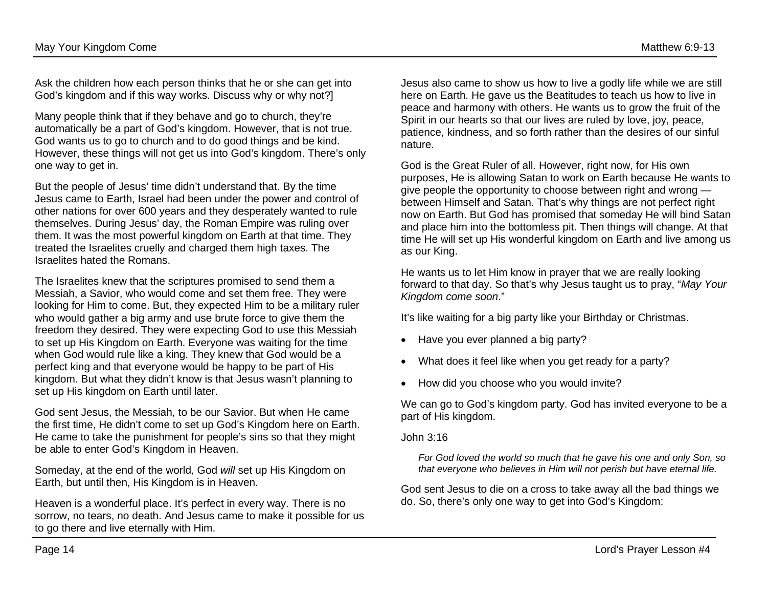Ask the children how each person thinks that he or she can get into God's kingdom and if this way works. Discuss why or why not?]

Many people think that if they behave and go to church, they're automatically be a part of God's kingdom. However, that is not true. God wants us to go to church and to do good things and be kind. However, these things will not get us into God's kingdom. There's only one way to get in.

But the people of Jesus' time didn't understand that. By the time Jesus came to Earth, Israel had been under the power and control of other nations for over 600 years and they desperately wanted to rule themselves. During Jesus' day, the Roman Empire was ruling over them. It was the most powerful kingdom on Earth at that time. They treated the Israelites cruelly and charged them high taxes. The Israelites hated the Romans.

The Israelites knew that the scriptures promised to send them a Messiah, a Savior, who would come and set them free. They were looking for Him to come. But, they expected Him to be a military ruler who would gather a big army and use brute force to give them the freedom they desired. They were expecting God to use this Messiah to set up His Kingdom on Earth. Everyone was waiting for the time when God would rule like a king. They knew that God would be a perfect king and that everyone would be happy to be part of His kingdom. But what they didn't know is that Jesus wasn't planning to set up His kingdom on Earth until later.

God sent Jesus, the Messiah, to be our Savior. But when He came the first time, He didn't come to set up God's Kingdom here on Earth. He came to take the punishment for people's sins so that they might be able to enter God's Kingdom in Heaven.

Someday, at the end of the world, God *will* set up His Kingdom on Earth, but until then, His Kingdom is in Heaven.

Heaven is a wonderful place. It's perfect in every way. There is no sorrow, no tears, no death. And Jesus came to make it possible for us to go there and live eternally with Him.

Jesus also came to show us how to live a godly life while we are still here on Earth. He gave us the Beatitudes to teach us how to live in peace and harmony with others. He wants us to grow the fruit of the Spirit in our hearts so that our lives are ruled by love, joy, peace, patience, kindness, and so forth rather than the desires of our sinful nature.

God is the Great Ruler of all. However, right now, for His own purposes, He is allowing Satan to work on Earth because He wants to give people the opportunity to choose between right and wrong between Himself and Satan. That's why things are not perfect right now on Earth. But God has promised that someday He will bind Satan and place him into the bottomless pit. Then things will change. At that time He will set up His wonderful kingdom on Earth and live among us as our King.

He wants us to let Him know in prayer that we are really looking forward to that day. So that's why Jesus taught us to pray, "*May Your Kingdom come soon*."

It's like waiting for a big party like your Birthday or Christmas.

- Have you ever planned a big party?
- What does it feel like when you get ready for a party?
- How did you choose who you would invite?

We can go to God's kingdom party. God has invited everyone to be a part of His kingdom.

John 3:16

*For God loved the world so much that he gave his one and only Son, so that everyone who believes in Him will not perish but have eternal life.*

God sent Jesus to die on a cross to take away all the bad things we do. So, there's only one way to get into God's Kingdom: